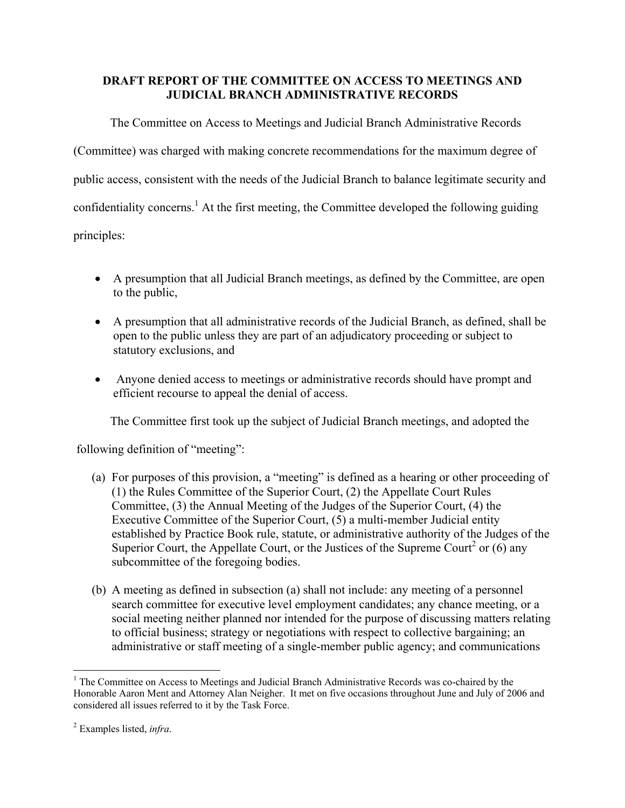## **DRAFT REPORT OF THE COMMITTEE ON ACCESS TO MEETINGS AND JUDICIAL BRANCH ADMINISTRATIVE RECORDS**

The Committee on Access to Meetings and Judicial Branch Administrative Records (Committee) was charged with making concrete recommendations for the maximum degree of public access, consistent with the needs of the Judicial Branch to balance legitimate security and confidentiality concerns.<sup>1</sup> At the first meeting, the Committee developed the following guiding principles:

- A presumption that all Judicial Branch meetings, as defined by the Committee, are open to the public,
- A presumption that all administrative records of the Judicial Branch, as defined, shall be open to the public unless they are part of an adjudicatory proceeding or subject to statutory exclusions, and
- Anyone denied access to meetings or administrative records should have prompt and efficient recourse to appeal the denial of access.

The Committee first took up the subject of Judicial Branch meetings, and adopted the

following definition of "meeting":

- (a) For purposes of this provision, a "meeting" is defined as a hearing or other proceeding of (1) the Rules Committee of the Superior Court, (2) the Appellate Court Rules Committee, (3) the Annual Meeting of the Judges of the Superior Court, (4) the Executive Committee of the Superior Court, (5) a multi-member Judicial entity established by Practice Book rule, statute, or administrative authority of the Judges of the Superior Court, the Appellate Court, or the Justices of the Supreme Court<sup>2</sup> or  $(6)$  any subcommittee of the foregoing bodies.
- (b) A meeting as defined in subsection (a) shall not include: any meeting of a personnel search committee for executive level employment candidates; any chance meeting, or a social meeting neither planned nor intended for the purpose of discussing matters relating to official business; strategy or negotiations with respect to collective bargaining; an administrative or staff meeting of a single-member public agency; and communications

1

<sup>&</sup>lt;sup>1</sup> The Committee on Access to Meetings and Judicial Branch Administrative Records was co-chaired by the Honorable Aaron Ment and Attorney Alan Neigher. It met on five occasions throughout June and July of 2006 and considered all issues referred to it by the Task Force.

<sup>2</sup> Examples listed, *infra*.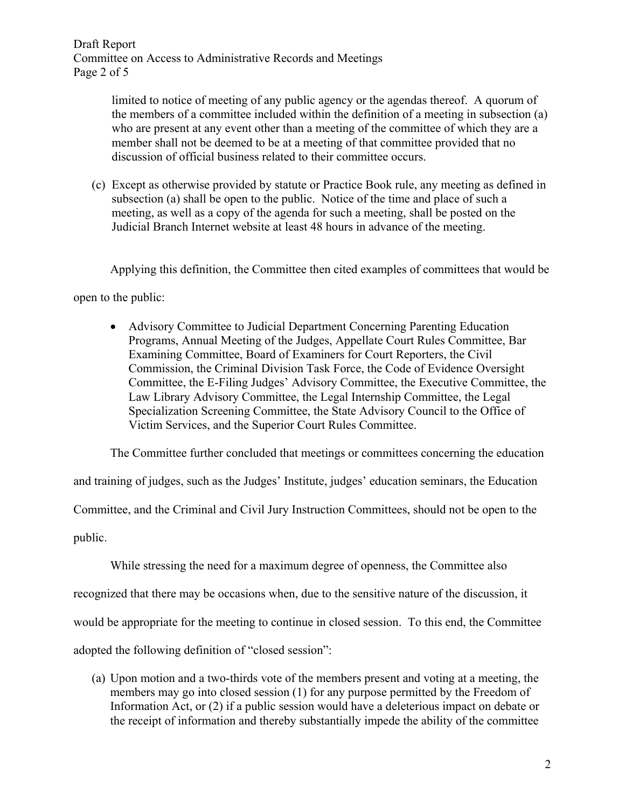Draft Report Committee on Access to Administrative Records and Meetings Page 2 of 5

> limited to notice of meeting of any public agency or the agendas thereof. A quorum of the members of a committee included within the definition of a meeting in subsection (a) who are present at any event other than a meeting of the committee of which they are a member shall not be deemed to be at a meeting of that committee provided that no discussion of official business related to their committee occurs.

(c) Except as otherwise provided by statute or Practice Book rule, any meeting as defined in subsection (a) shall be open to the public. Notice of the time and place of such a meeting, as well as a copy of the agenda for such a meeting, shall be posted on the Judicial Branch Internet website at least 48 hours in advance of the meeting.

Applying this definition, the Committee then cited examples of committees that would be

open to the public:

• Advisory Committee to Judicial Department Concerning Parenting Education Programs, Annual Meeting of the Judges, Appellate Court Rules Committee, Bar Examining Committee, Board of Examiners for Court Reporters, the Civil Commission, the Criminal Division Task Force, the Code of Evidence Oversight Committee, the E-Filing Judges' Advisory Committee, the Executive Committee, the Law Library Advisory Committee, the Legal Internship Committee, the Legal Specialization Screening Committee, the State Advisory Council to the Office of Victim Services, and the Superior Court Rules Committee.

The Committee further concluded that meetings or committees concerning the education

and training of judges, such as the Judges' Institute, judges' education seminars, the Education Committee, and the Criminal and Civil Jury Instruction Committees, should not be open to the

public.

While stressing the need for a maximum degree of openness, the Committee also recognized that there may be occasions when, due to the sensitive nature of the discussion, it would be appropriate for the meeting to continue in closed session. To this end, the Committee adopted the following definition of "closed session":

(a) Upon motion and a two-thirds vote of the members present and voting at a meeting, the members may go into closed session (1) for any purpose permitted by the Freedom of Information Act, or (2) if a public session would have a deleterious impact on debate or the receipt of information and thereby substantially impede the ability of the committee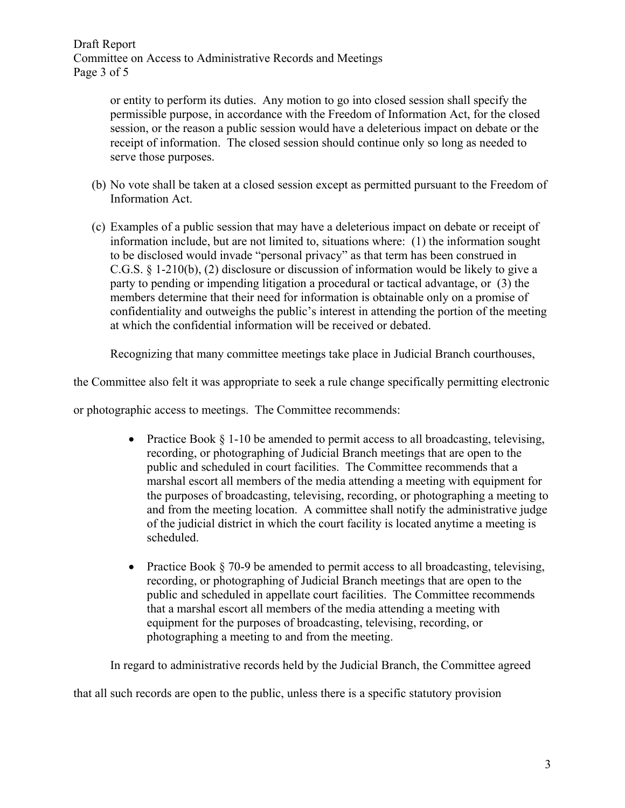Draft Report Committee on Access to Administrative Records and Meetings Page 3 of 5

> or entity to perform its duties. Any motion to go into closed session shall specify the permissible purpose, in accordance with the Freedom of Information Act, for the closed session, or the reason a public session would have a deleterious impact on debate or the receipt of information. The closed session should continue only so long as needed to serve those purposes.

- (b) No vote shall be taken at a closed session except as permitted pursuant to the Freedom of Information Act.
- (c) Examples of a public session that may have a deleterious impact on debate or receipt of information include, but are not limited to, situations where: (1) the information sought to be disclosed would invade "personal privacy" as that term has been construed in C.G.S. § 1-210(b), (2) disclosure or discussion of information would be likely to give a party to pending or impending litigation a procedural or tactical advantage, or (3) the members determine that their need for information is obtainable only on a promise of confidentiality and outweighs the public's interest in attending the portion of the meeting at which the confidential information will be received or debated.

Recognizing that many committee meetings take place in Judicial Branch courthouses,

the Committee also felt it was appropriate to seek a rule change specifically permitting electronic

or photographic access to meetings. The Committee recommends:

- Practice Book  $\S$  1-10 be amended to permit access to all broadcasting, televising, recording, or photographing of Judicial Branch meetings that are open to the public and scheduled in court facilities. The Committee recommends that a marshal escort all members of the media attending a meeting with equipment for the purposes of broadcasting, televising, recording, or photographing a meeting to and from the meeting location. A committee shall notify the administrative judge of the judicial district in which the court facility is located anytime a meeting is scheduled.
- Practice Book § 70-9 be amended to permit access to all broadcasting, televising, recording, or photographing of Judicial Branch meetings that are open to the public and scheduled in appellate court facilities. The Committee recommends that a marshal escort all members of the media attending a meeting with equipment for the purposes of broadcasting, televising, recording, or photographing a meeting to and from the meeting.

In regard to administrative records held by the Judicial Branch, the Committee agreed

that all such records are open to the public, unless there is a specific statutory provision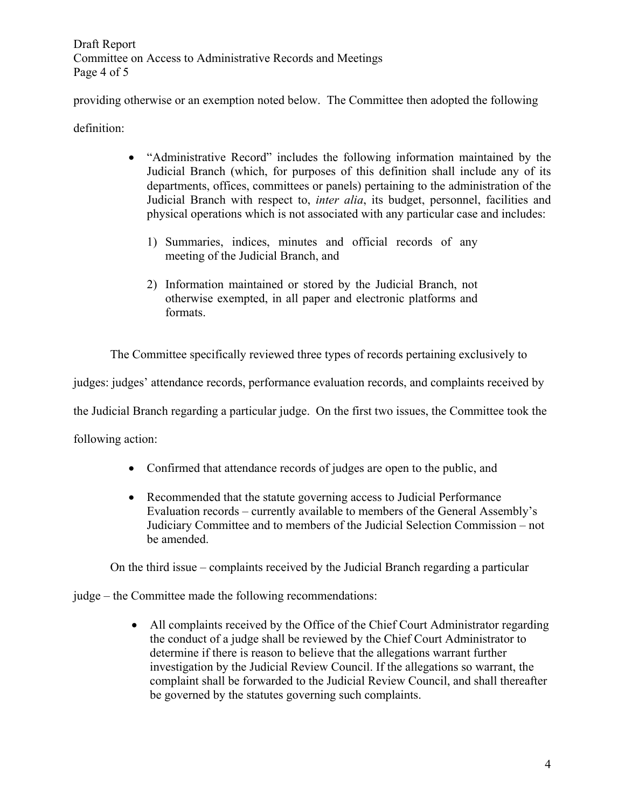Draft Report Committee on Access to Administrative Records and Meetings Page 4 of 5

providing otherwise or an exemption noted below. The Committee then adopted the following

definition:

- "Administrative Record" includes the following information maintained by the Judicial Branch (which, for purposes of this definition shall include any of its departments, offices, committees or panels) pertaining to the administration of the Judicial Branch with respect to, *inter alia*, its budget, personnel, facilities and physical operations which is not associated with any particular case and includes:
	- 1) Summaries, indices, minutes and official records of any meeting of the Judicial Branch, and
	- 2) Information maintained or stored by the Judicial Branch, not otherwise exempted, in all paper and electronic platforms and formats.

The Committee specifically reviewed three types of records pertaining exclusively to

judges: judges' attendance records, performance evaluation records, and complaints received by

the Judicial Branch regarding a particular judge. On the first two issues, the Committee took the

following action:

- Confirmed that attendance records of judges are open to the public, and
- Recommended that the statute governing access to Judicial Performance Evaluation records – currently available to members of the General Assembly's Judiciary Committee and to members of the Judicial Selection Commission – not be amended.

On the third issue – complaints received by the Judicial Branch regarding a particular

judge – the Committee made the following recommendations:

• All complaints received by the Office of the Chief Court Administrator regarding the conduct of a judge shall be reviewed by the Chief Court Administrator to determine if there is reason to believe that the allegations warrant further investigation by the Judicial Review Council. If the allegations so warrant, the complaint shall be forwarded to the Judicial Review Council, and shall thereafter be governed by the statutes governing such complaints.